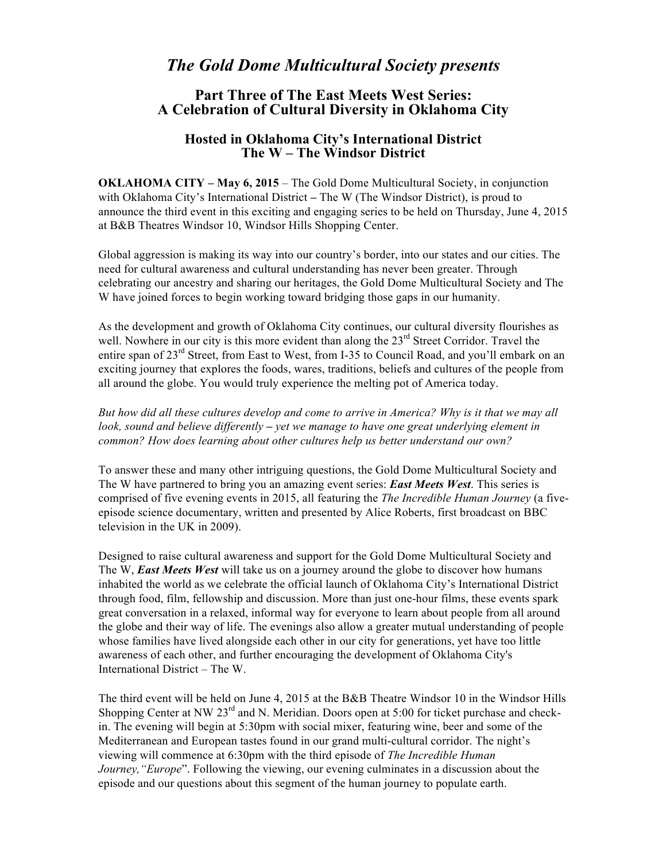## *The Gold Dome Multicultural Society presents*

## **Part Three of The East Meets West Series: A Celebration of Cultural Diversity in Oklahoma City**

## **Hosted in Oklahoma City's International District The W – The Windsor District**

**OKLAHOMA CITY – May 6, 2015** – The Gold Dome Multicultural Society, in conjunction with Oklahoma City's International District **–** The W (The Windsor District), is proud to announce the third event in this exciting and engaging series to be held on Thursday, June 4, 2015 at B&B Theatres Windsor 10, Windsor Hills Shopping Center.

Global aggression is making its way into our country's border, into our states and our cities. The need for cultural awareness and cultural understanding has never been greater. Through celebrating our ancestry and sharing our heritages, the Gold Dome Multicultural Society and The W have joined forces to begin working toward bridging those gaps in our humanity.

As the development and growth of Oklahoma City continues, our cultural diversity flourishes as well. Nowhere in our city is this more evident than along the 23<sup>rd</sup> Street Corridor. Travel the entire span of 23<sup>rd</sup> Street, from East to West, from I-35 to Council Road, and you'll embark on an exciting journey that explores the foods, wares, traditions, beliefs and cultures of the people from all around the globe. You would truly experience the melting pot of America today.

*But how did all these cultures develop and come to arrive in America? Why is it that we may all look, sound and believe differently – yet we manage to have one great underlying element in common? How does learning about other cultures help us better understand our own?* 

To answer these and many other intriguing questions, the Gold Dome Multicultural Society and The W have partnered to bring you an amazing event series: *East Meets West*. This series is comprised of five evening events in 2015, all featuring the *The Incredible Human Journey* (a fiveepisode science documentary, written and presented by Alice Roberts, first broadcast on BBC television in the UK in 2009).

Designed to raise cultural awareness and support for the Gold Dome Multicultural Society and The W, *East Meets West* will take us on a journey around the globe to discover how humans inhabited the world as we celebrate the official launch of Oklahoma City's International District through food, film, fellowship and discussion. More than just one-hour films, these events spark great conversation in a relaxed, informal way for everyone to learn about people from all around the globe and their way of life. The evenings also allow a greater mutual understanding of people whose families have lived alongside each other in our city for generations, yet have too little awareness of each other, and further encouraging the development of Oklahoma City's International District – The W.

The third event will be held on June 4, 2015 at the B&B Theatre Windsor 10 in the Windsor Hills Shopping Center at NW 23<sup>rd</sup> and N. Meridian. Doors open at 5:00 for ticket purchase and checkin. The evening will begin at 5:30pm with social mixer, featuring wine, beer and some of the Mediterranean and European tastes found in our grand multi-cultural corridor. The night's viewing will commence at 6:30pm with the third episode of *The Incredible Human Journey,"Europe*". Following the viewing, our evening culminates in a discussion about the episode and our questions about this segment of the human journey to populate earth.